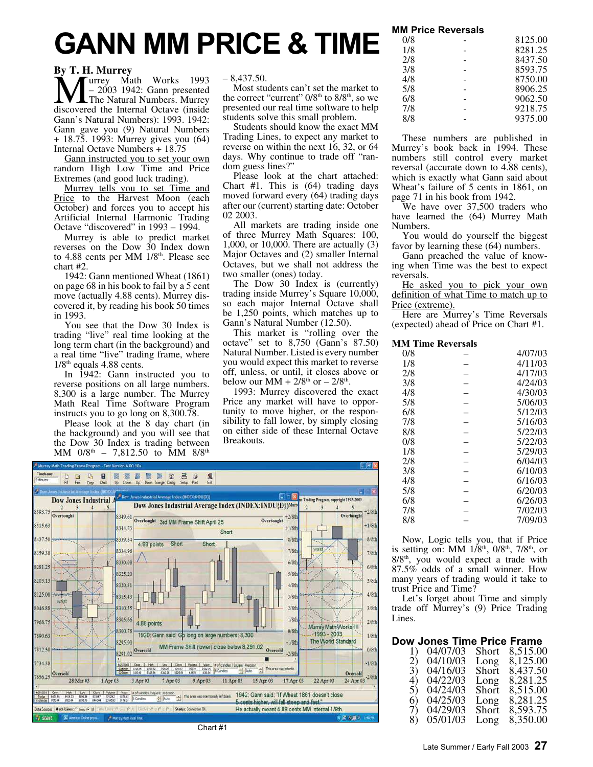# **GANN MM PRICE & TIME**

### **By T. H. Murrey**

Math Works 1993<br>
Math Works 1993<br>
The Natural Numbers. Murrey<br>
discovered the Internal Octave (inside urrey Math Works 1993  $-2003$  1942: Gann presented **The Natural Numbers. Murrey** Gann's Natural Numbers): 1993. 1942: Gann gave you (9) Natural Numbers + 18.75. 1993: Murrey gives you (64) Internal Octave Numbers + 18.75

Gann instructed you to set your own random High Low Time and Price Extremes (and good luck trading).

Murrey tells you to set Time and Price to the Harvest Moon (each October) and forces you to accept his Artificial Internal Harmonic Trading Octave "discovered" in 1993 – 1994.

Murrey is able to predict market reverses on the Dow 30 Index down to 4.88 cents per MM 1/8<sup>th</sup>. Please see chart #2.

1942: Gann mentioned Wheat (1861) on page 68 in his book to fail by a 5 cent move (actually 4.88 cents). Murrey discovered it, by reading his book 50 times in 1993.

You see that the Dow 30 Index is trading "live" real time looking at the long term chart (in the background) and a real time "live" trading frame, where  $1/8<sup>th</sup>$  equals 4.88 cents.

In 1942: Gann instructed you to reverse positions on all large numbers. 8,300 is a large number. The Murrey Math Real Time Software Program instructs you to go long on 8,300.78.

Please look at the 8 day chart (in the background) and you will see that the Dow 30 Index is trading between MM  $0/8^{th}$  – 7,812.50 to MM 8/8<sup>th</sup>

 $-8,437,50.$ 

Most students can't set the market to the correct "current"  $0/8<sup>th</sup>$  to  $8/8<sup>th</sup>$ , so we presented our real time software to help students solve this small problem.

Students should know the exact MM Trading Lines, to expect any market to reverse on within the next 16, 32, or 64 days. Why continue to trade off "random guess lines?"

Please look at the chart attached: Chart #1. This is (64) trading days moved forward every (64) trading days after our (current) starting date: October 02 2003.

All markets are trading inside one of three Murrey Math Squares: 100, 1,000, or 10,000. There are actually (3) Major Octaves and (2) smaller Internal Octaves, but we shall not address the two smaller (ones) today.

The Dow 30 Index is (currently) trading inside Murrey's Square 10,000, so each major Internal Octave shall be 1,250 points, which matches up to Gann's Natural Number (12.50).

This market is "rolling over the octave" set to 8,750 (Gann's 87.50) Natural Number. Listed is every number you would expect this market to reverse off, unless, or until, it closes above or below our  $MM + 2/8<sup>th</sup>$  or  $- 2/8<sup>th</sup>$ .

1993: Murrey discovered the exact Price any market will have to opportunity to move higher, or the responsibility to fall lower, by simply closing on either side of these Internal Octave Breakouts.



| <b>MM Price Reversals</b> |  |         |  |  |
|---------------------------|--|---------|--|--|
| 0/8                       |  | 8125.00 |  |  |
| 1/8                       |  | 8281.25 |  |  |
| 2/8                       |  | 8437.50 |  |  |
| 3/8                       |  | 8593.75 |  |  |
|                           |  |         |  |  |

| 178 | 8281.25 |
|-----|---------|
| 2/8 | 8437.50 |
| 3/8 | 8593.75 |
| 4/8 | 8750.00 |
| 5/8 | 8906.25 |
| 6/8 | 9062.50 |
| 7/8 | 9218.75 |
| 8/8 | 9375.00 |
|     |         |

These numbers are published in Murrey's book back in 1994. These numbers still control every market reversal (accurate down to 4.88 cents), which is exactly what Gann said about Wheat's failure of 5 cents in 1861, on page 71 in his book from 1942.

We have over 37,500 traders who have learned the (64) Murrey Math Numbers.

You would do yourself the biggest favor by learning these (64) numbers.

Gann preached the value of knowing when Time was the best to expect reversals.

He asked you to pick your own definition of what Time to match up to Price (extreme).

Here are Murrey's Time Reversals (expected) ahead of Price on Chart #1.

#### **MM Time Reversals**

| 0/8 | 4/07/03 |
|-----|---------|
| 1/8 | 4/11/03 |
| 2/8 | 4/17/03 |
| 3/8 | 4/24/03 |
| 4/8 | 4/30/03 |
| 5/8 | 5/06/03 |
| 6/8 | 5/12/03 |
| 7/8 | 5/16/03 |
| 8/8 | 5/22/03 |
| 0/8 | 5/22/03 |
| 1/8 | 5/29/03 |
| 2/8 | 6/04/03 |
| 3/8 | 6/10/03 |
| 4/8 | 6/16/03 |
| 5/8 | 6/20/03 |
| 6/8 | 6/26/03 |
| 7/8 | 7/02/03 |
| 8/8 | 7/09/03 |
|     |         |

Now, Logic tells you, that if Price is setting on: MM  $1/8^{\text{th}}$ ,  $0/8^{\text{th}}$ ,  $7/8^{\text{th}}$ , or  $8/8<sup>th</sup>$ , you would expect a trade with 87.5% odds of a small winner. How many years of trading would it take to trust Price and Time?

Let's forget about Time and simply trade off Murrey's (9) Price Trading Lines.

### **Dow Jones Time Price Frame**

| 1) | 04/07/03 | Short | 8,515.00 |
|----|----------|-------|----------|
| 2) | 04/10/03 | Long  | 8,125.00 |
| 3) | 04/16/03 | Short | 8,437.50 |
| 4) | 04/22/03 | Long  | 8,281.25 |
| 5) | 04/24/03 | Short | 8,515.00 |
| 6) | 04/25/03 | Long  | 8,281.25 |
| 7) | 04/29/03 | Short | 8,593.75 |
| 8) | 05/01/03 | Long  | 8,350.00 |
|    |          |       |          |